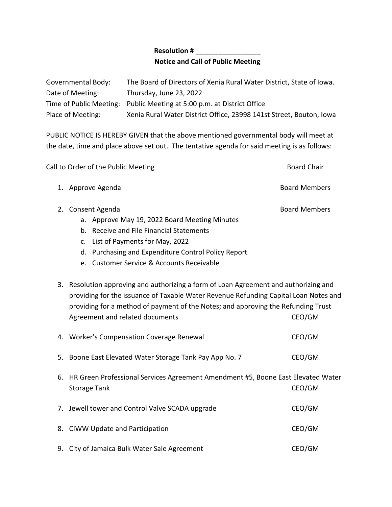## **Resolution # \_\_\_\_\_\_\_\_\_\_\_\_\_\_\_\_\_ Notice and Call of Public Meeting**

| Governmental Body: | The Board of Directors of Xenia Rural Water District, State of Iowa.   |
|--------------------|------------------------------------------------------------------------|
| Date of Meeting:   | Thursday, June 23, 2022                                                |
|                    | Time of Public Meeting: Public Meeting at 5:00 p.m. at District Office |
| Place of Meeting:  | Xenia Rural Water District Office, 23998 141st Street, Bouton, Iowa    |

PUBLIC NOTICE IS HEREBY GIVEN that the above mentioned governmental body will meet at the date, time and place above set out. The tentative agenda for said meeting is as follows:

| Call to Order of the Public Meeting                 | <b>Board Chair</b>   |
|-----------------------------------------------------|----------------------|
| 1. Approve Agenda                                   | <b>Board Members</b> |
| 2. Consent Agenda                                   | <b>Board Members</b> |
| a. Approve May 19, 2022 Board Meeting Minutes       |                      |
| b. Receive and File Financial Statements            |                      |
| c. List of Payments for May, 2022                   |                      |
| d. Purchasing and Expenditure Control Policy Report |                      |
| e. Customer Service & Accounts Receivable           |                      |

3. Resolution approving and authorizing a form of Loan Agreement and authorizing and providing for the issuance of Taxable Water Revenue Refunding Capital Loan Notes and providing for a method of payment of the Notes; and approving the Refunding Trust Agreement and related documents CEO/GM

|    | 4. Worker's Compensation Coverage Renewal                                                                  | CEO/GM |
|----|------------------------------------------------------------------------------------------------------------|--------|
|    | 5. Boone East Elevated Water Storage Tank Pay App No. 7                                                    | CEO/GM |
|    | 6. HR Green Professional Services Agreement Amendment #5, Boone East Elevated Water<br><b>Storage Tank</b> | CEO/GM |
|    | 7. Jewell tower and Control Valve SCADA upgrade                                                            | CEO/GM |
|    | 8. CIWW Update and Participation                                                                           | CEO/GM |
| 9. | City of Jamaica Bulk Water Sale Agreement                                                                  | CEO/GM |